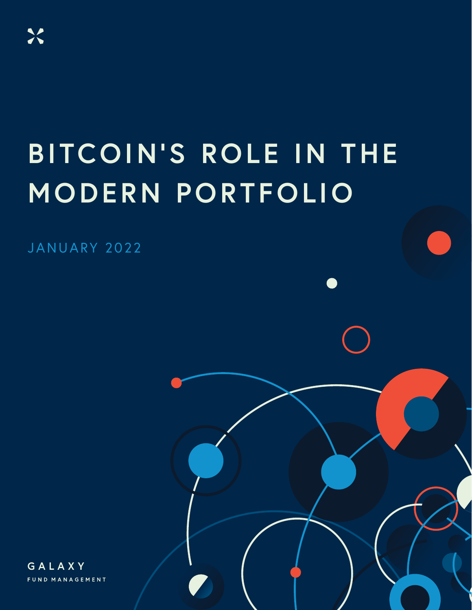### **BITCOIN'S ROLE IN THE MODERN PORTFOLIO**

GALAXY FUND MANAGEMENT IN STRUCTURE IN THE STRUCTURE OF THE STRUCTURE OF THE STRUCTURE OF THE STRUCTURE OF THE

JANUARY 2022

GALAXY FUND MANAGEMENT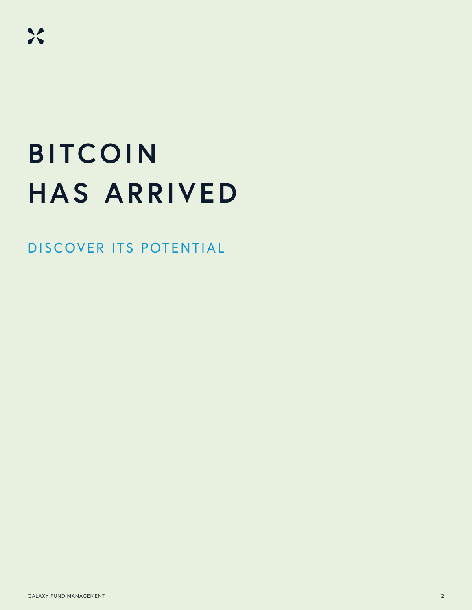### **BITCOIN HAS ARRIVED**

DISCOVER ITS POTENTIAL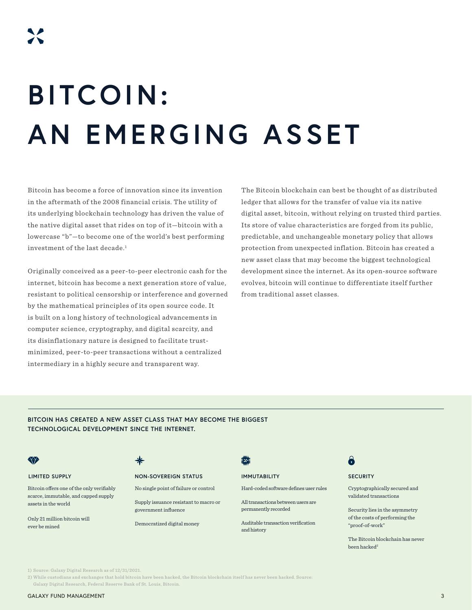# **BITCOIN: AN EMERGING ASSET**

Bitcoin has become a force of innovation since its invention in the aftermath of the 2008 financial crisis. The utility of its underlying blockchain technology has driven the value of the native digital asset that rides on top of it—bitcoin with a lowercase "b"—to become one of the world's best performing investment of the last decade.<sup>1</sup>

Originally conceived as a peer-to-peer electronic cash for the internet, bitcoin has become a next generation store of value, resistant to political censorship or interference and governed by the mathematical principles of its open source code. It is built on a long history of technological advancements in computer science, cryptography, and digital scarcity, and its disinflationary nature is designed to facilitate trustminimized, peer-to-peer transactions without a centralized intermediary in a highly secure and transparent way.

The Bitcoin blockchain can best be thought of as distributed ledger that allows for the transfer of value via its native digital asset, bitcoin, without relying on trusted third parties. Its store of value characteristics are forged from its public, predictable, and unchangeable monetary policy that allows protection from unexpected inflation. Bitcoin has created a new asset class that may become the biggest technological development since the internet. As its open-source software evolves, bitcoin will continue to differentiate itself further from traditional asset classes.

### **BITCOIN HAS CREATED A NEW ASSET CLASS THAT MAY BECOME THE BIGGEST TECHNOLOGICAL DEVELOPMENT SINCE THE INTERNET.**

Bitcoin offers one of the only verifiably scarce, immutable, and capped supply assets in the world

Only 21 million bitcoin will ever be mined

### **LIMITED SUPPLY NON-SOVEREIGN STATUS IMMUTABILITY SECURITY**

No single point of failure or control

Supply issuance resistant to macro or government influence

### Democratized digital money

國

and history

Hard-coded software defines user rules

All transactions between users are permanently recorded

Auditable transaction verification

### a

Cryptographically secured and validated transactions

Security lies in the asymmetry of the costs of performing the "proof-of-work"

The Bitcoin blockchain has never been hacked<sup>2</sup>

1) Source: Galaxy Digital Research as of 12/31/2021.

2) While custodians and exchanges that hold bitcoin have been hacked, the Bitcoin blockchain itself has never been hacked. Source: Galaxy Digital Research, Federal Reserve Bank of St. Louis, Bitcoin.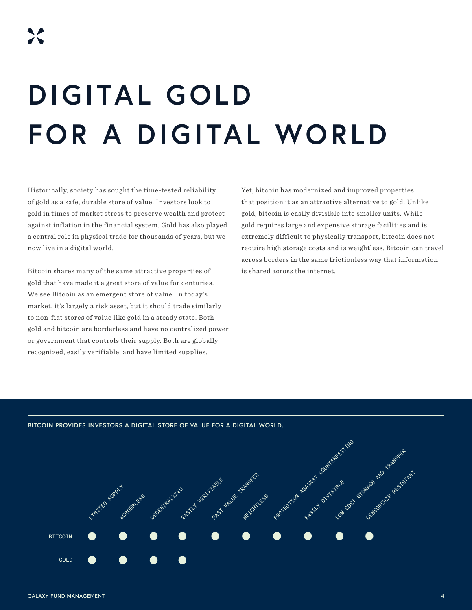# **DIGITAL GOLD FOR A DIGITAL WORLD**

Historically, society has sought the time-tested reliability of gold as a safe, durable store of value. Investors look to gold in times of market stress to preserve wealth and protect against inflation in the financial system. Gold has also played a central role in physical trade for thousands of years, but we now live in a digital world.

Bitcoin shares many of the same attractive properties of gold that have made it a great store of value for centuries. We see Bitcoin as an emergent store of value. In today's market, it's largely a risk asset, but it should trade similarly to non-fiat stores of value like gold in a steady state. Both gold and bitcoin are borderless and have no centralized power or government that controls their supply. Both are globally recognized, easily verifiable, and have limited supplies.

Yet, bitcoin has modernized and improved properties that position it as an attractive alternative to gold. Unlike gold, bitcoin is easily divisible into smaller units. While gold requires large and expensive storage facilities and is extremely difficult to physically transport, bitcoin does not require high storage costs and is weightless. Bitcoin can travel across borders in the same frictionless way that information is shared across the internet.

**BITCOIN PROVIDES INVESTORS A DIGITAL STORE OF VALUE FOR A DIGITAL WORLD.**

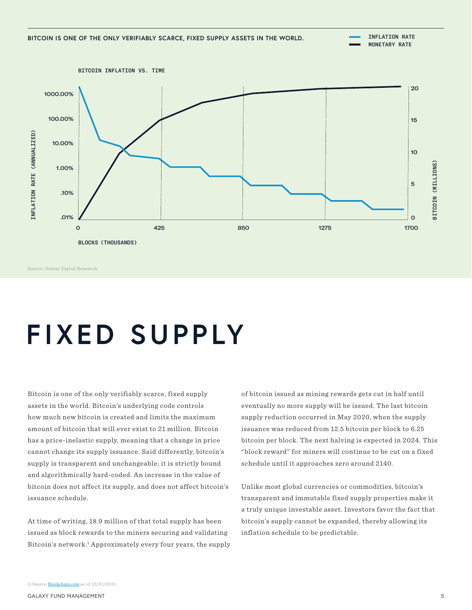

Source: Galaxy Digital Research

### **FIXED SUPPLY**

Bitcoin is one of the only verifiably scarce, fixed supply assets in the world. Bitcoin's underlying code controls how much new bitcoin is created and limits the maximum amount of bitcoin that will ever exist to 21 million. Bitcoin has a price-inelastic supply, meaning that a change in price cannot change its supply issuance. Said differently, bitcoin's supply is transparent and unchangeable; it is strictly bound and algorithmically hard-coded. An increase in the value of bitcoin does not affect its supply, and does not affect bitcoin's issuance schedule.

At time of writing, 18.9 million of that total supply has been issued as block rewards to the miners securing and validating Bitcoin's network.<sup>1</sup> Approximately every four years, the supply of bitcoin issued as mining rewards gets cut in half until eventually no more supply will be issued. The last bitcoin supply reduction occurred in May 2020, when the supply issuance was reduced from 12.5 bitcoin per block to 6.25 bitcoin per block. The next halving is expected in 2024. This "block reward" for miners will continue to be cut on a fixed schedule until it approaches zero around 2140.

Unlike most global currencies or commodities, bitcoin's transparent and immutable fixed supply properties make it a truly unique investable asset. Investors favor the fact that bitcoin's supply cannot be expanded, thereby allowing its inflation schedule to be predictable.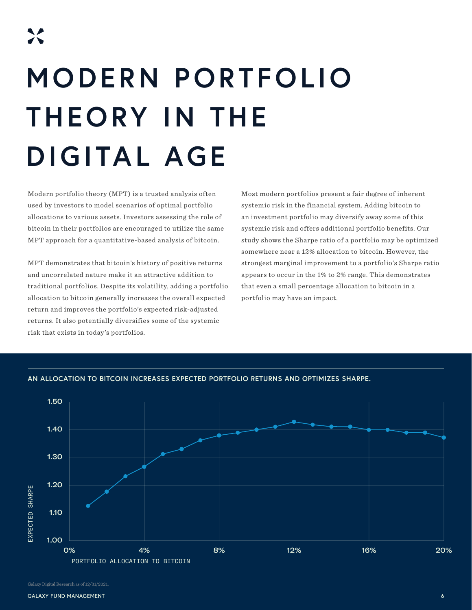# **MODERN PORTFOLIO THEORY IN THE DIGITAL AGE**

Modern portfolio theory (MPT) is a trusted analysis often used by investors to model scenarios of optimal portfolio allocations to various assets. Investors assessing the role of bitcoin in their portfolios are encouraged to utilize the same MPT approach for a quantitative-based analysis of bitcoin.

MPT demonstrates that bitcoin's history of positive returns and uncorrelated nature make it an attractive addition to traditional portfolios. Despite its volatility, adding a portfolio allocation to bitcoin generally increases the overall expected return and improves the portfolio's expected risk-adjusted returns. It also potentially diversifies some of the systemic risk that exists in today's portfolios.

Most modern portfolios present a fair degree of inherent systemic risk in the financial system. Adding bitcoin to an investment portfolio may diversify away some of this systemic risk and offers additional portfolio benefits. Our study shows the Sharpe ratio of a portfolio may be optimized somewhere near a 12% allocation to bitcoin. However, the strongest marginal improvement to a portfolio's Sharpe ratio appears to occur in the 1% to 2% range. This demonstrates that even a small percentage allocation to bitcoin in a portfolio may have an impact.



**AN ALLOCATION TO BITCOIN INCREASES EXPECTED PORTFOLIO RETURNS AND OPTIMIZES SHARPE.**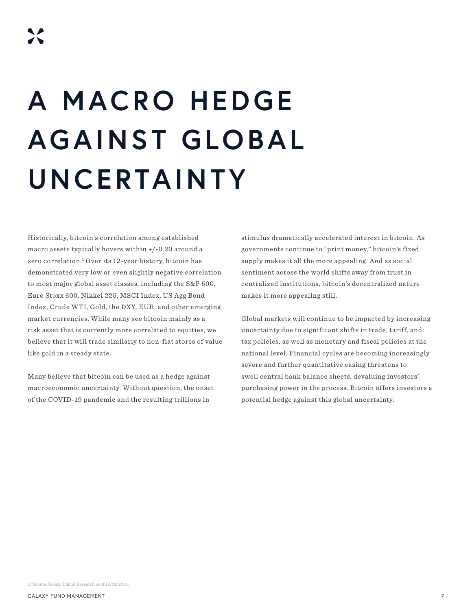# **A MACRO HEDGE AGAINST GLOBAL UNCERTAINTY**

Historically, bitcoin's correlation among established macro assets typically hovers within +/-0.20 around a zero correlation.1 Over its 12-year history, bitcoin has demonstrated very low or even slightly negative correlation to most major global asset classes, including the S&P 500, Euro Stoxx 600, Nikkei 225, MSCI Index, US Agg Bond Index, Crude WTI, Gold, the DXY, EUR, and other emerging market currencies. While many see bitcoin mainly as a risk asset that is currently more correlated to equities, we believe that it will trade similarly to non-fiat stores of value like gold in a steady state.

Many believe that bitcoin can be used as a hedge against macroeconomic uncertainty. Without question, the onset of the COVID-19 pandemic and the resulting trillions in

stimulus dramatically accelerated interest in bitcoin. As governments continue to "print money," bitcoin's fixed supply makes it all the more appealing. And as social sentiment across the world shifts away from trust in centralized institutions, bitcoin's decentralized nature makes it more appealing still.

Global markets will continue to be impacted by increasing uncertainty due to significant shifts in trade, tariff, and tax policies, as well as monetary and fiscal policies at the national level. Financial cycles are becoming increasingly severe and further quantitative easing threatens to swell central bank balance sheets, devaluing investors' purchasing power in the process. Bitcoin offers investors a potential hedge against this global uncertainty.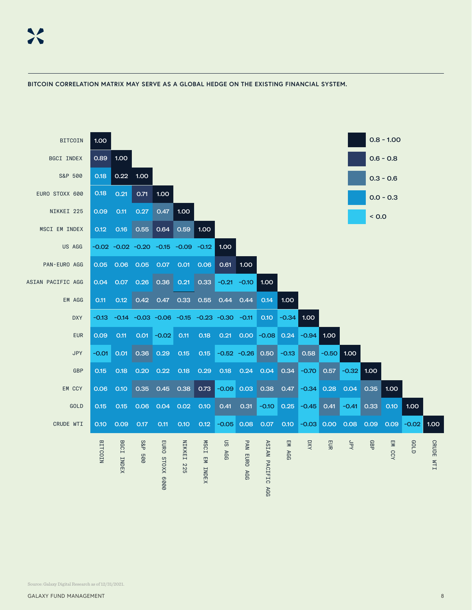

### **BITCOIN CORRELATION MATRIX MAY SERVE AS A GLOBAL HEDGE ON THE EXISTING FINANCIAL SYSTEM.**

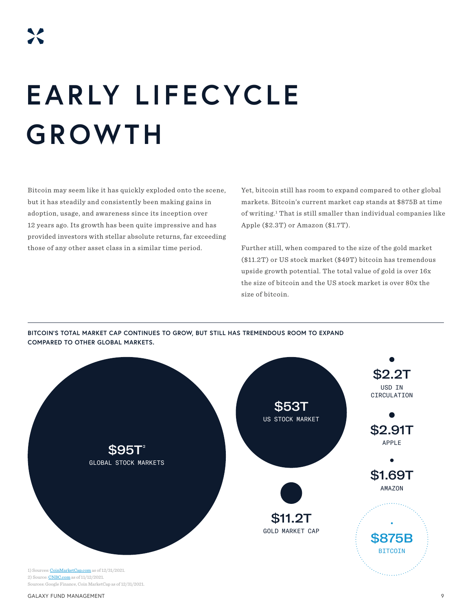# **EARLY LIFECYCLE GROWTH**

Bitcoin may seem like it has quickly exploded onto the scene, but it has steadily and consistently been making gains in adoption, usage, and awareness since its inception over 12 years ago. Its growth has been quite impressive and has provided investors with stellar absolute returns, far exceeding those of any other asset class in a similar time period.

Yet, bitcoin still has room to expand compared to other global markets. Bitcoin's current market cap stands at \$875B at time of writing.<sup>1</sup> That is still smaller than individual companies like Apple (\$2.3T) or Amazon (\$1.7T).

Further still, when compared to the size of the gold market (\$11.2T) or US stock market (\$49T) bitcoin has tremendous upside growth potential. The total value of gold is over 16x the size of bitcoin and the US stock market is over 80x the size of bitcoin.



**BITCOIN'S TOTAL MARKET CAP CONTINUES TO GROW, BUT STILL HAS TREMENDOUS ROOM TO EXPAND COMPARED TO OTHER GLOBAL MARKETS.**

GALAXY FUND MANAGEMENT  $\overline{9}$ 

Sources: Google Finance, Coin MarketCap as of 12/31/2021.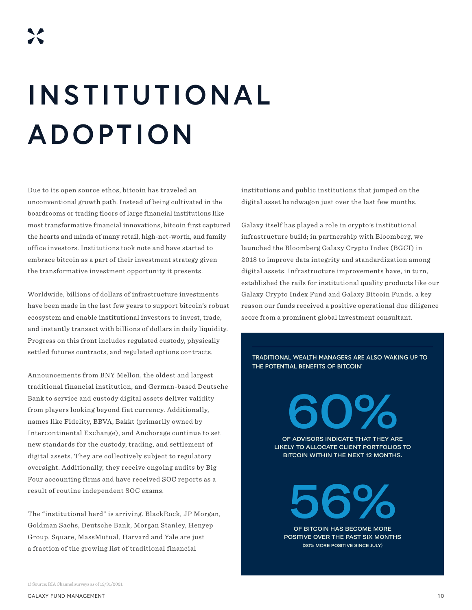# **INSTITUTIONAL ADOPTION**

Due to its open source ethos, bitcoin has traveled an unconventional growth path. Instead of being cultivated in the boardrooms or trading floors of large financial institutions like most transformative financial innovations, bitcoin first captured the hearts and minds of many retail, high-net-worth, and family office investors. Institutions took note and have started to embrace bitcoin as a part of their investment strategy given the transformative investment opportunity it presents.

Worldwide, billions of dollars of infrastructure investments have been made in the last few years to support bitcoin's robust ecosystem and enable institutional investors to invest, trade, and instantly transact with billions of dollars in daily liquidity. Progress on this front includes regulated custody, physically settled futures contracts, and regulated options contracts.

Announcements from BNY Mellon, the oldest and largest traditional financial institution, and German-based Deutsche Bank to service and custody digital assets deliver validity from players looking beyond fiat currency. Additionally, names like Fidelity, BBVA, Bakkt (primarily owned by Intercontinental Exchange), and Anchorage continue to set new standards for the custody, trading, and settlement of digital assets. They are collectively subject to regulatory oversight. Additionally, they receive ongoing audits by Big Four accounting firms and have received SOC reports as a result of routine independent SOC exams.

The "institutional herd" is arriving. BlackRock, JP Morgan, Goldman Sachs, Deutsche Bank, Morgan Stanley, Henyep Group, Square, MassMutual, Harvard and Yale are just a fraction of the growing list of traditional financial

institutions and public institutions that jumped on the digital asset bandwagon just over the last few months.

Galaxy itself has played a role in crypto's institutional infrastructure build; in partnership with Bloomberg, we launched the Bloomberg Galaxy Crypto Index (BGCI) in 2018 to improve data integrity and standardization among digital assets. Infrastructure improvements have, in turn, established the rails for institutional quality products like our Galaxy Crypto Index Fund and Galaxy Bitcoin Funds, a key reason our funds received a positive operational due diligence score from a prominent global investment consultant.

**TRADITIONAL WEALTH MANAGERS ARE ALSO WAKING UP TO THE POTENTIAL BENEFITS OF BITCOIN1**

> 60% OF ADVISORS INDICATE THAT THEY ARE LIKELY TO ALLOCATE CLIENT PORTFOLIOS TO

BITCOIN WITHIN THE NEXT 12 MONTHS.

56% OF BITCOIN HAS BECOME MORE

POSITIVE OVER THE PAST SIX MONTHS (30% MORE POSITIVE SINCE JULY)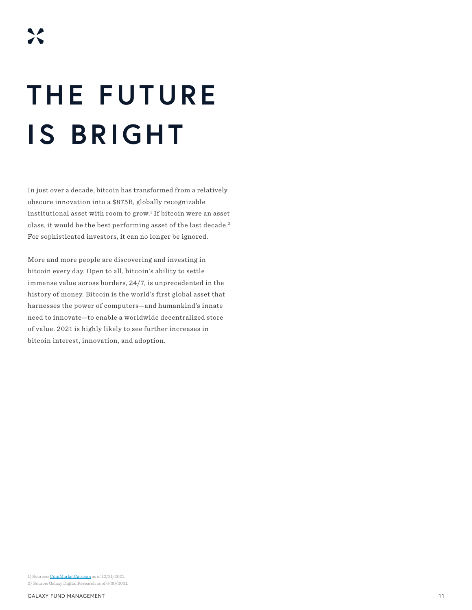## **THE FUTURE IS BRIGHT**

In just over a decade, bitcoin has transformed from a relatively obscure innovation into a \$875B, globally recognizable institutional asset with room to grow. $^1$  If bitcoin were an asset class, it would be the best performing asset of the last decade.<sup>2</sup> For sophisticated investors, it can no longer be ignored.

More and more people are discovering and investing in bitcoin every day. Open to all, bitcoin's ability to settle immense value across borders, 24/7, is unprecedented in the history of money. Bitcoin is the world's first global asset that harnesses the power of computers—and humankind's innate need to innovate—to enable a worldwide decentralized store of value. 2021 is highly likely to see further increases in bitcoin interest, innovation, and adoption.

1) Sources: [CoinMarketCap.com](https://coinmarketcap.com/currencies/bitcoin/historical-data/) as of 12/31/2021. 2) Source: Galaxy Digital Research as of 6/30/2021.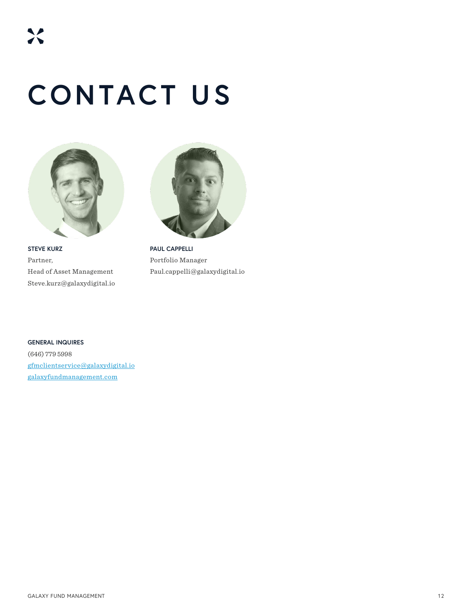### **CONTACT US**



**STEVE KURZ** Partner, Head of Asset Management Steve.kurz@galaxydigital.io



**PAUL CAPPELLI** Portfolio Manager Paul.cappelli@galaxydigital.io

**GENERAL INQUIRES** (646) 779 5998 gfmclientservice@galaxydigital.io galaxyfundmanagement.com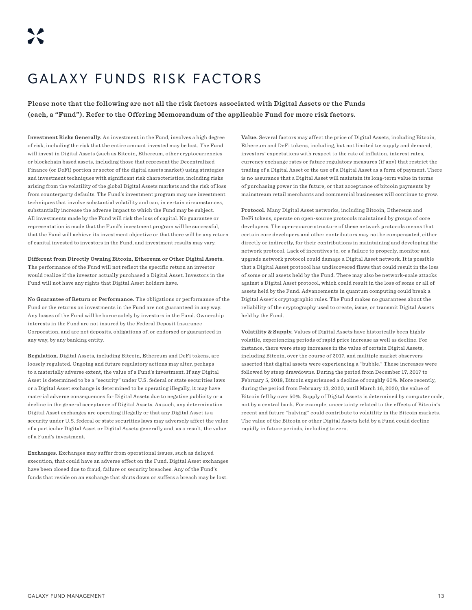### GALAXY FUNDS RISK FACTORS

**Please note that the following are not all the risk factors associated with Digital Assets or the Funds (each, a "Fund"). Refer to the Offering Memorandum of the applicable Fund for more risk factors.**

**Investment Risks Generally.** An investment in the Fund, involves a high degree of risk, including the risk that the entire amount invested may be lost. The Fund will invest in Digital Assets (such as Bitcoin, Ethereum, other cryptocurrencies or blockchain based assets, including those that represent the Decentralized Finance (or DeFi) portion or sector of the digital assets market) using strategies and investment techniques with significant risk characteristics, including risks arising from the volatility of the global Digital Assets markets and the risk of loss from counterparty defaults. The Fund's investment program may use investment techniques that involve substantial volatility and can, in certain circumstances, substantially increase the adverse impact to which the Fund may be subject. All investments made by the Fund will risk the loss of capital. No guarantee or representation is made that the Fund's investment program will be successful, that the Fund will achieve its investment objective or that there will be any return of capital invested to investors in the Fund, and investment results may vary.

**Different from Directly Owning Bitcoin, Ethereum or Other Digital Assets.** The performance of the Fund will not reflect the specific return an investor would realize if the investor actually purchased a Digital Asset. Investors in the Fund will not have any rights that Digital Asset holders have.

**No Guarantee of Return or Performance.** The obligations or performance of the Fund or the returns on investments in the Fund are not guaranteed in any way. Any losses of the Fund will be borne solely by investors in the Fund. Ownership interests in the Fund are not insured by the Federal Deposit Insurance Corporation, and are not deposits, obligations of, or endorsed or guaranteed in any way, by any banking entity.

**Regulation.** Digital Assets, including Bitcoin, Ethereum and DeFi tokens, are loosely regulated. Ongoing and future regulatory actions may alter, perhaps to a materially adverse extent, the value of a Fund's investment. If any Digital Asset is determined to be a "security" under U.S. federal or state securities laws or a Digital Asset exchange is determined to be operating illegally, it may have material adverse consequences for Digital Assets due to negative publicity or a decline in the general acceptance of Digital Assets. As such, any determination Digital Asset exchanges are operating illegally or that any Digital Asset is a security under U.S. federal or state securities laws may adversely affect the value of a particular Digital Asset or Digital Assets generally and, as a result, the value of a Fund's investment.

**Exchanges.** Exchanges may suffer from operational issues, such as delayed execution, that could have an adverse effect on the Fund. Digital Asset exchanges have been closed due to fraud, failure or security breaches. Any of the Fund's funds that reside on an exchange that shuts down or suffers a breach may be lost.

**Value.** Several factors may affect the price of Digital Assets, including Bitcoin, Ethereum and DeFi tokens, including, but not limited to: supply and demand, investors' expectations with respect to the rate of inflation, interest rates, currency exchange rates or future regulatory measures (if any) that restrict the trading of a Digital Asset or the use of a Digital Asset as a form of payment. There is no assurance that a Digital Asset will maintain its long-term value in terms of purchasing power in the future, or that acceptance of bitcoin payments by mainstream retail merchants and commercial businesses will continue to grow.

**Protocol.** Many Digital Asset networks, including Bitcoin, Ethereum and DeFi tokens, operate on open-source protocols maintained by groups of core developers. The open-source structure of these network protocols means that certain core developers and other contributors may not be compensated, either directly or indirectly, for their contributions in maintaining and developing the network protocol. Lack of incentives to, or a failure to properly, monitor and upgrade network protocol could damage a Digital Asset network. It is possible that a Digital Asset protocol has undiscovered flaws that could result in the loss of some or all assets held by the Fund. There may also be network-scale attacks against a Digital Asset protocol, which could result in the loss of some or all of assets held by the Fund. Advancements in quantum computing could break a Digital Asset's cryptographic rules. The Fund makes no guarantees about the reliability of the cryptography used to create, issue, or transmit Digital Assets held by the Fund.

**Volatility & Supply.** Values of Digital Assets have historically been highly volatile, experiencing periods of rapid price increase as well as decline. For instance, there were steep increases in the value of certain Digital Assets, including Bitcoin, over the course of 2017, and multiple market observers asserted that digital assets were experiencing a "bubble." These increases were followed by steep drawdowns. During the period from December 17, 2017 to February 5, 2018, Bitcoin experienced a decline of roughly 60%. More recently, during the period from February 13, 2020, until March 16, 2020, the value of Bitcoin fell by over 50%. Supply of Digital Assets is determined by computer code, not by a central bank. For example, uncertainty related to the effects of Bitcoin's recent and future "halving" could contribute to volatility in the Bitcoin markets. The value of the Bitcoin or other Digital Assets held by a Fund could decline rapidly in future periods, including to zero.